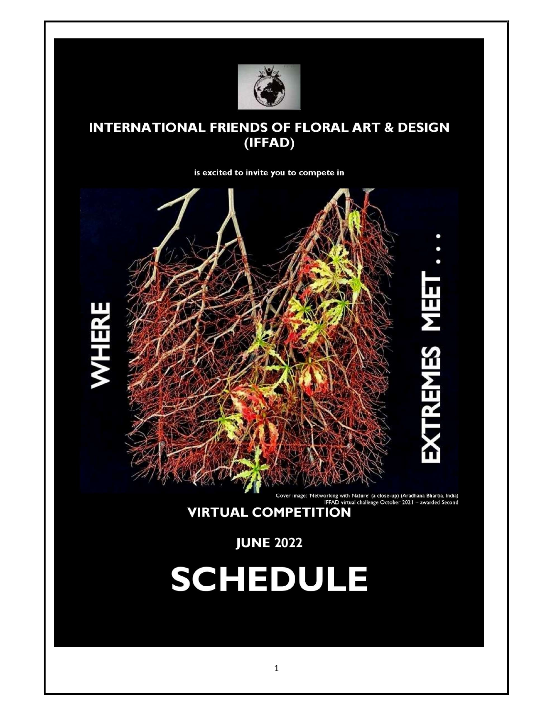

## **INTERNATIONAL FRIENDS OF FLORAL ART & DESIGN** (IFFAD)

is excited to invite you to compete in



Cover image: 'Networking with Nature' (a close-up) (Aradhana Bhartia, India)<br>IFFAD virtual challenge October 2021 – awarded Second<br>VIRTUAL COMPETITION

**JUNE 2022** 

# **SCHEDULE**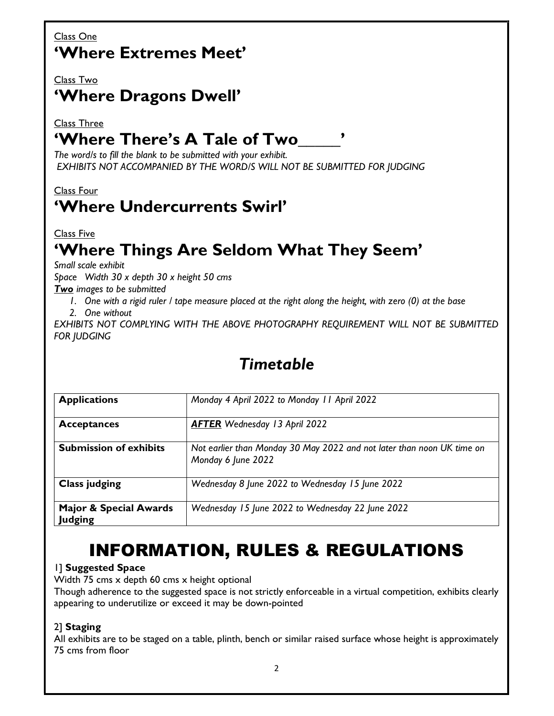## Class One 'Where Extremes Meet'

#### Class Two

# 'Where Dragons Dwell'

### Class Three 'Where There's A Tale of Two

The word/s to fill the blank to be submitted with your exhibit. EXHIBITS NOT ACCOMPANIED BY THE WORD/S WILL NOT BE SUBMITTED FOR JUDGING

## Class Four 'Where Undercurrents Swirl'

Class Five

# 'Where Things Are Seldom What They Seem'

Small scale exhibit

Space Width 30 x depth 30 x height 50 cms

Two images to be submitted

1. One with a rigid ruler / tape measure placed at the right along the height, with zero (0) at the base 2. One without

EXHIBITS NOT COMPLYING WITH THE ABOVE PHOTOGRAPHY REQUIREMENT WILL NOT BE SUBMITTED FOR JUDGING

| <b>Applications</b>                                 | Monday 4 April 2022 to Monday 11 April 2022                                                  |
|-----------------------------------------------------|----------------------------------------------------------------------------------------------|
| <b>Acceptances</b>                                  | <b>AFTER</b> Wednesday 13 April 2022                                                         |
| <b>Submission of exhibits</b>                       | Not earlier than Monday 30 May 2022 and not later than noon UK time on<br>Monday 6 June 2022 |
| <b>Class judging</b>                                | Wednesday 8 June 2022 to Wednesday 15 June 2022                                              |
| <b>Major &amp; Special Awards</b><br><b>Judging</b> | Wednesday 15 June 2022 to Wednesday 22 June 2022                                             |

## Timetable

# INFORMATION, RULES & REGULATIONS

#### 1] Suggested Space

Width 75 cms x depth 60 cms x height optional

Though adherence to the suggested space is not strictly enforceable in a virtual competition, exhibits clearly appearing to underutilize or exceed it may be down-pointed

#### 2] Staging

All exhibits are to be staged on a table, plinth, bench or similar raised surface whose height is approximately 75 cms from floor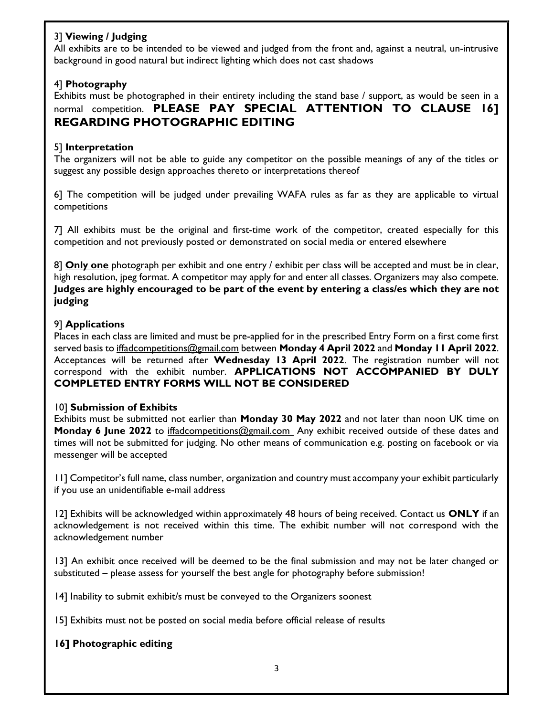#### 3] Viewing / Judging

All exhibits are to be intended to be viewed and judged from the front and, against a neutral, un-intrusive background in good natural but indirect lighting which does not cast shadows

#### 4] Photography

Exhibits must be photographed in their entirety including the stand base / support, as would be seen in a normal competition. PLEASE PAY SPECIAL ATTENTION TO CLAUSE 16] REGARDING PHOTOGRAPHIC EDITING

#### 5] Interpretation

The organizers will not be able to guide any competitor on the possible meanings of any of the titles or suggest any possible design approaches thereto or interpretations thereof

6] The competition will be judged under prevailing WAFA rules as far as they are applicable to virtual competitions

7] All exhibits must be the original and first-time work of the competitor, created especially for this competition and not previously posted or demonstrated on social media or entered elsewhere

8] Only one photograph per exhibit and one entry / exhibit per class will be accepted and must be in clear, high resolution, jpeg format. A competitor may apply for and enter all classes. Organizers may also compete. Judges are highly encouraged to be part of the event by entering a class/es which they are not judging

#### 9] Applications

Places in each class are limited and must be pre-applied for in the prescribed Entry Form on a first come first served basis to iffadcompetitions@gmail.com between Monday 4 April 2022 and Monday 11 April 2022. Acceptances will be returned after Wednesday 13 April 2022. The registration number will not correspond with the exhibit number. APPLICATIONS NOT ACCOMPANIED BY DULY COMPLETED ENTRY FORMS WILL NOT BE CONSIDERED

#### 10] Submission of Exhibits

Exhibits must be submitted not earlier than Monday 30 May 2022 and not later than noon UK time on Monday 6 June 2022 to iffadcompetitions@gmail.com Any exhibit received outside of these dates and times will not be submitted for judging. No other means of communication e.g. posting on facebook or via messenger will be accepted

11] Competitor's full name, class number, organization and country must accompany your exhibit particularly if you use an unidentifiable e-mail address

12] Exhibits will be acknowledged within approximately 48 hours of being received. Contact us ONLY if an acknowledgement is not received within this time. The exhibit number will not correspond with the acknowledgement number

13] An exhibit once received will be deemed to be the final submission and may not be later changed or substituted – please assess for yourself the best angle for photography before submission!

14] Inability to submit exhibit/s must be conveyed to the Organizers soonest

15] Exhibits must not be posted on social media before official release of results

#### 16] Photographic editing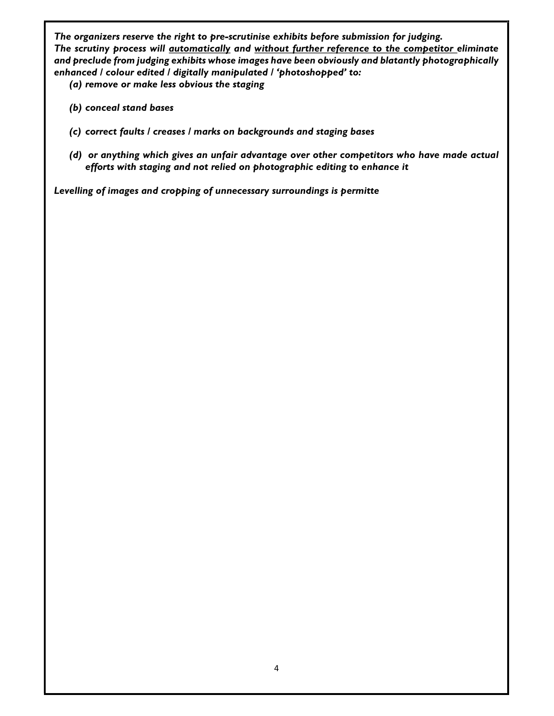The organizers reserve the right to pre-scrutinise exhibits before submission for judging. The scrutiny process will automatically and without further reference to the competitor eliminate and preclude from judging exhibits whose images have been obviously and blatantly photographically enhanced / colour edited / digitally manipulated / 'photoshopped' to:

(a) remove or make less obvious the staging

- (b) conceal stand bases
- (c) correct faults / creases / marks on backgrounds and staging bases
- (d) or anything which gives an unfair advantage over other competitors who have made actual efforts with staging and not relied on photographic editing to enhance it

Levelling of images and cropping of unnecessary surroundings is permitte